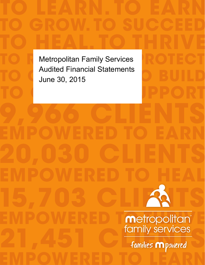families **m** powered **EMPOWERED TO LEARN 9,966 CLIENTS 15,703 CLIENTS Metropolitan**<br>family services **EMPOWERED TO HEAL TO HEAL. TO THRIVE TO R** Metropolitan Family Services<br> **TO R** Metropolitan Family Services **TO C** June 30, 2015 TO GUIDE DEPORT Metropolitan Family Services Audited Financial Statements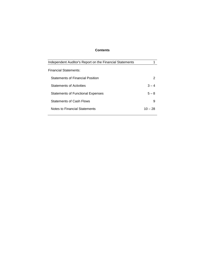## **Contents**

| Independent Auditor's Report on the Financial Statements |         |
|----------------------------------------------------------|---------|
| <b>Financial Statements:</b>                             |         |
| <b>Statements of Financial Position</b>                  | 2       |
| <b>Statements of Activities</b>                          | $3 - 4$ |
| Statements of Functional Expenses                        | $5 - 8$ |
| <b>Statements of Cash Flows</b>                          | 9       |
| Notes to Financial Statements                            | 10 – 28 |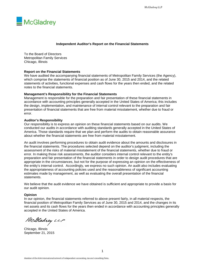

## **Independent Auditor's Report on the Financial Statements**

To the Board of Directors Metropolitan Family Services Chicago, Illinois

#### **Report on the Financial Statements**

We have audited the accompanying financial statements of Metropolitan Family Services (the Agency), which comprise the statements of financial position as of June 30, 2015 and 2014, and the related statements of activities, functional expenses and cash flows for the years then ended, and the related notes to the financial statements.

#### **Management's Responsibility for the Financial Statements**

Management is responsible for the preparation and fair presentation of these financial statements in accordance with accounting principles generally accepted in the United States of America; this includes the design, implementation, and maintenance of internal control relevant to the preparation and fair presentation of financial statements that are free from material misstatement, whether due to fraud or error.

## **Auditor's Responsibility**

Our responsibility is to express an opinion on these financial statements based on our audits. We conducted our audits in accordance with auditing standards generally accepted in the United States of America. Those standards require that we plan and perform the audits to obtain reasonable assurance about whether the financial statements are free from material misstatement.

An audit involves performing procedures to obtain audit evidence about the amounts and disclosures in the financial statements. The procedures selected depend on the auditor's judgment, including the assessment of the risks of material misstatement of the financial statements, whether due to fraud or error. In making those risk assessments, the auditor considers internal control relevant to the entity's preparation and fair presentation of the financial statements in order to design audit procedures that are appropriate in the circumstances, but not for the purpose of expressing an opinion on the effectiveness of the entity's internal control. Accordingly, we express no such opinion. An audit also includes evaluating the appropriateness of accounting policies used and the reasonableness of significant accounting estimates made by management, as well as evaluating the overall presentation of the financial statements.

We believe that the audit evidence we have obtained is sufficient and appropriate to provide a basis for our audit opinion.

#### **Opinion**

In our opinion, the financial statements referred to above present fairly, in all material respects, the financial position of Metropolitan Family Services as of June 30, 2015 and 2014, and the changes in its net assets and its cash flows for the years then ended in accordance with accounting principles generally accepted in the United States of America.

McGladrey LLP

Chicago, Illinois September 21, 2015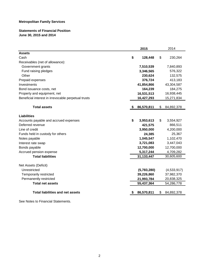# **Statements of Financial Position June 30, 2015 and 2014**

|                                                     | 2015             | 2014             |
|-----------------------------------------------------|------------------|------------------|
| <b>Assets</b>                                       |                  |                  |
| Cash                                                | \$<br>128,448    | \$<br>230,264    |
| Receivables (net of allowance):                     |                  |                  |
| Government grants                                   | 7,510,539        | 7,840,893        |
| Fund raising pledges                                | 3,346,565        | 576,322          |
| Other                                               | 230,624          | 132,575          |
| Prepaid expenses                                    | 376,724          | 413,183          |
| Investments                                         | 41,854,866       | 43,304,587       |
| Bond issuance costs, net                            | 164,239          | 184,275          |
| Property and equipment, net                         | 16,531,513       | 16,938,445       |
| Beneficial interest in irrevocable perpetual trusts | 16,427,293       | 15,271,834       |
| <b>Total assets</b>                                 | \$<br>86,570,811 | \$<br>84,892,378 |
|                                                     |                  |                  |
| <b>Liabilities</b>                                  |                  |                  |
| Accounts payable and accrued expenses               | \$<br>3,953,613  | \$<br>3,554,927  |
| Deferred revenue                                    | 421,575          | 866,511          |
| Line of credit                                      | 3,950,000        | 4,200,000        |
| Funds held in custody for others                    | 24,385           | 25,367           |
| Notes payable                                       | 1,045,547        | 1,102,470        |
| Interest rate swap                                  | 3,721,083        | 3,447,043        |
| Bonds payable                                       | 12,700,000       | 12,700,000       |
| Accrued pension expense                             | 5,317,244        | 4,709,282        |
| <b>Total liabilities</b>                            | 31,133,447       | 30,605,600       |
| Net Assets (Deficit)                                |                  |                  |
| Unrestricted                                        | (5,783,280)      | (4, 533, 917)    |
| Temporarily restricted                              | 39,226,860       | 37,982,370       |
| Permanently restricted                              | 21,993,784       | 20,838,325       |
| <b>Total net assets</b>                             | 55,437,364       | 54,286,778       |
|                                                     |                  |                  |
| <b>Total liabilities and net assets</b>             | 86,570,811       | \$<br>84,892,378 |
|                                                     |                  |                  |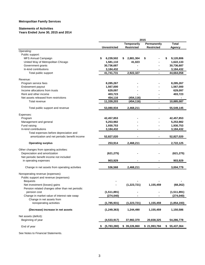#### **Statements of Activities Years Ended June 30, 2015 and 2014**

|                                                 |                     |                    | 2015                     |                  |
|-------------------------------------------------|---------------------|--------------------|--------------------------|------------------|
|                                                 |                     | <b>Temporarily</b> | Permanently              | <b>Total</b>     |
|                                                 | <b>Unrestricted</b> | <b>Restricted</b>  | <b>Restricted</b>        | Agency           |
| Operating:                                      |                     |                    |                          |                  |
| Public support:                                 |                     |                    |                          |                  |
| MFS Annual Campaign                             | 6,239,502<br>\$     | 2,881,304<br>\$    | \$                       | 9,120,806<br>\$  |
| United Way of Metropolitan Chicago              | 1,581,110           | 41,023             |                          | 1,622,133        |
| Government grants                               | 30,736,687          |                    |                          | 30,736,687       |
| In-kind contributions                           | 3,184,432           |                    |                          | 3,184,432        |
| Total public support                            | 41,741,731          | 2,922,327          | $\overline{\phantom{a}}$ | 44,664,058       |
| Revenue:                                        |                     |                    |                          |                  |
| Program service fees                            | 8,285,267           |                    |                          | 8,285,267        |
| Endowment payout                                | 1,567,000           |                    |                          | 1,567,000        |
| Income allocations from trusts                  | 629,097             |                    |                          | 629,097          |
| Rent and other income                           | 403,723             |                    |                          | 403,723          |
| Net assets released from restrictions           | 454,116             | (454, 116)         |                          |                  |
| Total revenue                                   | 11,339,203          | (454, 116)         | $\blacksquare$           | 10,885,087       |
| Total public support and revenue                | 53,080,934          | 2,468,211          |                          | 55,549,145       |
| Expenses:                                       |                     |                    |                          |                  |
| Program                                         | 42,457,853          |                    |                          | 42,457,853       |
| Management and general                          | 5,253,982           |                    |                          | 5,253,982        |
| Fund raising                                    | 1,930,753           |                    |                          | 1,930,753        |
| In-kind contributions                           | 3,184,432           |                    |                          | 3,184,432        |
| Total expenses before depreciation and          |                     |                    |                          |                  |
| amortization and net periodic benefit income    | 52,827,020          |                    |                          | 52,827,020       |
| <b>Operating surplus</b>                        | 253,914             | 2,468,211          |                          | 2,722,125        |
| Other changes from operating activities:        |                     |                    |                          |                  |
| Depreciation and amortization                   | (621, 275)          |                    |                          | (621, 275)       |
| Net periodic benefit income not included        |                     |                    |                          |                  |
| in operating expenses                           | 903,929             |                    |                          | 903,929          |
| Change in net assets from operating activities  | 536,568             | 2,468,211          |                          | 3,004,779        |
| Nonoperating revenue (expenses):                |                     |                    |                          |                  |
| Public support and revenue (expenses):          |                     |                    |                          |                  |
| <b>Bequests</b>                                 |                     |                    |                          |                  |
| Net investment (losses) gains                   |                     | (1,223,721)        | 1,155,459                | (68, 262)        |
| Pension related changes other than net periodic |                     |                    |                          |                  |
| pension cost                                    | (1,511,891)         |                    |                          | (1,511,891)      |
| Change in market value of interest rate swap    | (274, 040)          |                    |                          | (274, 040)       |
| Change in net assets from                       |                     |                    |                          |                  |
| nonoperating activities                         | (1,785,931)         | (1, 223, 721)      | 1,155,459                | (1,854,193)      |
| (Decrease) increase in net assets               | (1, 249, 363)       | 1,244,490          | 1,155,459                | 1,150,586        |
| Net assets (deficit):                           |                     |                    |                          |                  |
| Beginning of year                               | (4,533,917)         | 37,982,370         | 20,838,325               | 54,286,778       |
| End of year                                     | (5,783,280)         | \$39,226,860       | \$21,993,784             | 55,437,364<br>\$ |
|                                                 |                     |                    |                          |                  |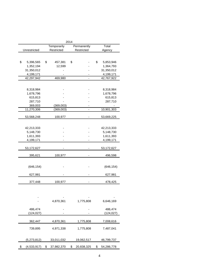|                    |                  | 2014 |                          |                    |
|--------------------|------------------|------|--------------------------|--------------------|
|                    | Temporarily      |      | Permanently              | Total              |
| Unrestricted       | Restricted       |      | Restricted               | Agency             |
|                    |                  |      |                          |                    |
| \$<br>5,396,565    | \$<br>457,381    | \$   |                          | \$<br>5,853,946    |
| 1,352,194          | 12,599           |      |                          | 1,364,793          |
| 31,350,012         |                  |      |                          | 31,350,012         |
| 4,199,171          |                  |      |                          | 4,199,171          |
| 42,297,942         | 469,980          |      |                          | 42,767,922         |
|                    |                  |      |                          |                    |
|                    |                  |      |                          |                    |
| 8,318,984          |                  |      |                          | 8,318,984          |
| 1,678,796          |                  |      |                          | 1,678,796          |
| 615,813<br>287,710 |                  |      |                          | 615,813<br>287,710 |
| 369,003            | (369,003)        |      |                          |                    |
| 11,270,306         | (369,003)        |      | $\overline{\phantom{0}}$ | 10,901,303         |
|                    |                  |      |                          |                    |
| 53,568,248         | 100,977          |      |                          | 53,669,225         |
|                    |                  |      |                          |                    |
| 42,213,333         |                  |      |                          | 42,213,333         |
| 5,148,730          |                  |      |                          | 5,148,730          |
| 1,611,393          |                  |      |                          | 1,611,393          |
| 4,199,171          |                  |      |                          | 4,199,171          |
| 53,172,627         |                  |      |                          | 53,172,627         |
|                    |                  |      |                          |                    |
| 395,621            | 100,977          |      |                          | 496,598            |
|                    |                  |      |                          |                    |
| (646, 154)         |                  |      |                          | (646, 154)         |
|                    |                  |      |                          |                    |
| 627,981            |                  |      |                          | 627,981            |
| 377,448            | 100,977          |      |                          | 478,425            |
|                    |                  |      |                          |                    |
|                    |                  |      |                          |                    |
|                    |                  |      |                          |                    |
|                    | 4,870,361        |      | 1,775,808                | 6,646,169          |
|                    |                  |      |                          |                    |
| 486,474            |                  |      |                          | 486,474            |
| (124, 027)         |                  |      |                          | (124, 027)         |
|                    |                  |      |                          |                    |
| 362,447            | 4,870,361        |      | 1,775,808                | 7,008,616          |
| 739,895            | 4,971,338        |      | 1,775,808                | 7,487,041          |
|                    |                  |      |                          |                    |
| (5,273,812)        | 33,011,032       |      | 19,062,517               | 46,799,737         |
|                    |                  |      |                          |                    |
| \$<br>(4,533,917)  | \$<br>37,982,370 | \$   | 20,838,325               | \$<br>54,286,778   |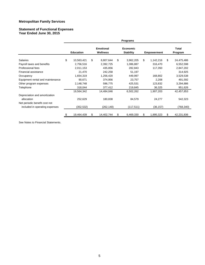#### **Statement of Functional Expenses Year Ended June 30, 2015**

|                                             | <b>Programs</b> |                  |    |                              |    |                              |    |                    |    |                  |
|---------------------------------------------|-----------------|------------------|----|------------------------------|----|------------------------------|----|--------------------|----|------------------|
|                                             |                 | <b>Education</b> |    | <b>Emotional</b><br>Wellness |    | Economic<br><b>Stability</b> |    | <b>Empowerment</b> |    | Total<br>Program |
|                                             |                 |                  |    |                              |    |                              |    |                    |    |                  |
| <b>Salaries</b>                             | \$              | 10,563,421       | \$ | 8,807,644                    | \$ | 3,962,205                    | \$ | 1,142,216          | \$ | 24,475,486       |
| Payroll taxes and benefits                  |                 | 2,756,516        |    | 2,392,725                    |    | 1,086,887                    |    | 316,470            |    | 6,552,598        |
| Professional fees                           |                 | 2,011,153        |    | 435,856                      |    | 282,843                      |    | 117,350            |    | 2,847,202        |
| Financial assistance                        |                 | 21,470           |    | 242,258                      |    | 51,197                       |    |                    |    | 314,925          |
| Occupancy                                   |                 | 1,654,319        |    | 1,256,420                    |    | 449,997                      |    | 168,802            |    | 3,529,538        |
| Equipment rental and maintenance            |                 | 90,671           |    | 374,956                      |    | 23,757                       |    | 2,208              |    | 491,592          |
| Other program expenses                      |                 | 2,148,748        |    | 596,775                      |    | 425,531                      |    | 123,832            |    | 3,294,886        |
| Telephone                                   |                 | 318,044          |    | 377,412                      |    | 219,845                      |    | 36,325             |    | 951,626          |
|                                             |                 | 19,564,342       |    | 14,484,046                   |    | 6,502,262                    |    | 1,907,203          |    | 42,457,853       |
| Depreciation and amortization<br>allocation |                 | 252,629          |    | 180,838                      |    | 84,579                       |    | 24,277             |    | 542,323          |
| Net periodic benefit cost not               |                 |                  |    |                              |    |                              |    |                    |    |                  |
| included in operating expenses              |                 | (352,532)        |    | (262, 140)                   |    | (117, 511)                   |    | (36, 157)          |    | (768, 340)       |
|                                             |                 | 19,464,439       | \$ | 14,402,744                   | S  | 6,469,330                    | \$ | 1,895,323          | \$ | 42,231,836       |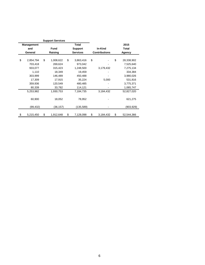|                 | <b>Support Services</b> |    |                 |                      |           |    |              |  |  |  |  |
|-----------------|-------------------------|----|-----------------|----------------------|-----------|----|--------------|--|--|--|--|
| Management      |                         |    | Total           | 2015                 |           |    |              |  |  |  |  |
| and             | <b>Fund</b>             |    | <b>Support</b>  |                      | In-Kind   |    | <b>Total</b> |  |  |  |  |
| General         | Raising                 |    | <b>Services</b> | <b>Contributions</b> |           |    | Agency       |  |  |  |  |
|                 |                         |    |                 |                      |           |    |              |  |  |  |  |
| \$<br>2,854,794 | \$<br>1,008,622         | \$ | 3,863,416       | \$                   |           | \$ | 28,338,902   |  |  |  |  |
| 703,418         | 269,624                 |    | 973,042         |                      |           |    | 7,525,640    |  |  |  |  |
| 933,077         | 315,423                 |    | 1,248,500       |                      | 3,179,432 |    | 7,275,134    |  |  |  |  |
| 1,110           | 18,349                  |    | 19,459          |                      |           |    | 334,384      |  |  |  |  |
| 303,999         | 146,489                 |    | 450,488         |                      |           |    | 3,980,026    |  |  |  |  |
| 17,309          | 17,915                  |    | 35,224          |                      | 5,000     |    | 531,816      |  |  |  |  |
| 359,936         | 120,549                 |    | 480,485         |                      |           |    | 3,775,371    |  |  |  |  |
| 80,339          | 33,782                  |    | 114,121         |                      |           |    | 1,065,747    |  |  |  |  |
| 5,253,982       | 1,930,753               |    | 7,184,735       |                      | 3,184,432 |    | 52,827,020   |  |  |  |  |
| 60,900          | 18,052                  |    | 78,952          |                      |           |    | 621,275      |  |  |  |  |
| (99, 432)       | (36,157)                |    | (135,589)       |                      |           |    | (903,929)    |  |  |  |  |
| \$<br>5,215,450 | \$<br>1,912,648         | \$ | 7,128,098       | \$                   | 3,184,432 | \$ | 52,544,366   |  |  |  |  |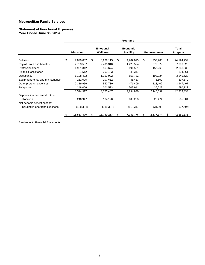#### **Statement of Functional Expenses Year Ended June 30, 2014**

|                                             | <b>Programs</b> |                  |    |                              |    |                              |    |                    |    |                  |  |
|---------------------------------------------|-----------------|------------------|----|------------------------------|----|------------------------------|----|--------------------|----|------------------|--|
|                                             |                 | <b>Education</b> |    | <b>Emotional</b><br>Wellness |    | Economic<br><b>Stability</b> |    | <b>Empowerment</b> |    | Total<br>Program |  |
| <b>Salaries</b>                             | \$              | 9,820,087        | \$ | 8,289,113                    | \$ | 4,762,813                    | \$ | 1,252,786          | \$ | 24,124,799       |  |
|                                             |                 |                  |    |                              |    |                              |    |                    |    |                  |  |
| Payroll taxes and benefits                  |                 | 2,703,557        |    | 2,496,310                    |    | 1,420,574                    |    | 379,879            |    | 7,000,320        |  |
| Professional fees                           |                 | 1,951,312        |    | 568,674                      |    | 191,581                      |    | 157,268            |    | 2,868,835        |  |
| Financial assistance                        |                 | 31,512           |    | 253,493                      |    | 49,347                       |    | 9                  |    | 334,361          |  |
| Occupancy                                   |                 | 1,198,422        |    | 1,193,992                    |    | 658,782                      |    | 198,324            |    | 3,249,520        |  |
| Equipment rental and maintenance            |                 | 252,005          |    | 107,652                      |    | 36,413                       |    | 1,809              |    | 397,879          |  |
| Other program expenses                      |                 | 2,319,956        |    | 542,730                      |    | 471,409                      |    | 113,402            |    | 3,447,497        |  |
| Telephone                                   |                 | 248,066          |    | 301,523                      |    | 203,911                      |    | 36,622             |    | 790,122          |  |
|                                             |                 | 18,524,917       |    | 13,753,487                   |    | 7,794,830                    |    | 2,140,099          |    | 42,213,333       |  |
| Depreciation and amortization<br>allocation |                 | 246,947          |    | 184,120                      |    | 106,263                      |    | 28,474             |    | 565,804          |  |
| Net periodic benefit cost not               |                 |                  |    |                              |    |                              |    |                    |    |                  |  |
| included in operating expenses              |                 | (188, 394)       |    | (188, 394)                   |    | (119, 317)                   |    | (31, 399)          |    | (527, 504)       |  |
|                                             | æ.              | 18,583,470       | \$ | 13,749,213                   | \$ | 7,781,776                    | \$ | 2,137,174          | \$ | 42,251,633       |  |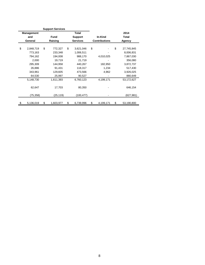|                   |    | <b>Support Services</b> |    |                 |    |                      |    |            |
|-------------------|----|-------------------------|----|-----------------|----|----------------------|----|------------|
| <b>Management</b> |    |                         |    | Total           |    |                      |    | 2014       |
| and               |    | <b>Fund</b>             |    | <b>Support</b>  |    | In-Kind              |    | Total      |
| General           |    | Raising                 |    | <b>Services</b> |    | <b>Contributions</b> |    | Agency     |
|                   |    |                         |    |                 |    |                      |    |            |
| \$<br>2,848,719   | \$ | 772,327                 | \$ | 3,621,046       | \$ |                      | \$ | 27,745,845 |
| 773,163           |    | 233,348                 |    | 1,006,511       |    |                      |    | 8,006,831  |
| 794,162           |    | 194,008                 |    | 988,170         |    | 4,010,025            |    | 7,867,030  |
| 2,000             |    | 19,719                  |    | 21,719          |    |                      |    | 356,080    |
| 295,309           |    | 144,958                 |    | 440,267         |    | 182,950              |    | 3,872,737  |
| 26,886            |    | 91,431                  |    | 118,317         |    | 1,234                |    | 517,430    |
| 343,961           |    | 129,605                 |    | 473,566         |    | 4,962                |    | 3,926,025  |
| 64,530            |    | 25,997                  |    | 90,527          |    |                      |    | 880,649    |
| 5,148,730         |    | 1,611,393               |    | 6,760,123       |    | 4,199,171            |    | 53,172,627 |
| 62,647            |    | 17,703                  |    | 80,350          |    |                      |    | 646,154    |
| (75, 358)         |    | (25, 119)               |    | (100, 477)      |    |                      |    | (627, 981) |
| \$<br>5,136,019   | \$ | 1,603,977               | \$ | 6,739,996       | \$ | 4,199,171            | \$ | 53,190,800 |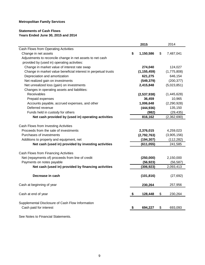# **Statements of Cash Flows Years Ended June 30, 2015 and 2014**

|                                                                |    | 2015          | 2014            |
|----------------------------------------------------------------|----|---------------|-----------------|
| Cash Flows from Operating Activities                           |    |               |                 |
| Change in net assets                                           | \$ | 1,150,586     | \$<br>7,487,041 |
| Adjustments to reconcile change in net assets to net cash      |    |               |                 |
| provided by (used in) operating activities:                    |    |               |                 |
| Change in market value of interest rate swap                   |    | 274,040       | 124,027         |
| Change in market value beneficial interest in perpetual trusts |    | (1, 155, 459) | (1,775,808)     |
| Depreciation and amortization                                  |    | 621,275       | 646,154         |
| Net realized gain on investments                               |    | (549, 379)    | (200, 377)      |
| Net unrealized loss (gain) on investments                      |    | 2,415,848     | (5,023,851)     |
| Changes in operating assets and liabilities:                   |    |               |                 |
| Receivables                                                    |    | (2,537,938)   | (1,445,628)     |
| Prepaid expenses                                               |    | 36,459        | 10,965          |
| Accounts payable, accrued expenses, and other                  |    | 1,006,648     | (2, 290, 928)   |
| Deferred revenue                                               |    | (444, 936)    | 135,150         |
| Funds held in custody for others                               |    | (982)         | (29, 435)       |
| Net cash provided by (used in) operating activities            |    | 816,162       | (2,362,690)     |
|                                                                |    |               |                 |
| Cash Flows from Investing Activities                           |    |               |                 |
| Proceeds from the sale of investments                          |    | 2,376,015     | 4,259,023       |
| Purchases of investments                                       |    | (2,792,763)   | (3,905,156)     |
| Additions to property and equipment, net                       |    | (194, 307)    | (112, 282)      |
| Net cash (used in) provided by investing activities            |    | (611, 055)    | 241,585         |
| Cash Flows from Financing Activities                           |    |               |                 |
| Net (repayments of) proceeds from line of credit               |    | (250,000)     | 2,150,000       |
| Payments on notes payable                                      |    | (56, 923)     | (56, 587)       |
| Net cash (used in) provided by financing activities            |    | (306, 923)    | 2,093,413       |
|                                                                |    |               |                 |
| Decrease in cash                                               |    | (101, 816)    | (27, 692)       |
|                                                                |    |               |                 |
| Cash at beginning of year                                      |    | 230,264       | 257,956         |
| Cash at end of year                                            | \$ | 128,448       | \$<br>230,264   |
|                                                                |    |               |                 |
| Supplemental Disclosure of Cash Flow Information               |    |               |                 |
| Cash paid for interest                                         | S. | 694,227       | \$<br>693,093   |
|                                                                |    |               |                 |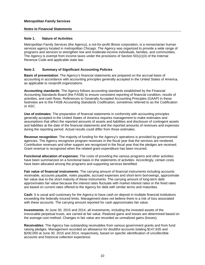## **Notes to Financial Statements**

## **Note 1. Nature of Activities**

Metropolitan Family Services (the Agency), a not-for-profit Illinois corporation, is a nonsectarian human services agency located in metropolitan Chicago. The Agency was organized to provide a wide range of programs and services to strengthen low and moderate-income individuals, families, and communities. The Agency is exempt from income taxes under the provisions of Section 501(c)(3) of the Internal Revenue Code and applicable state law.

## **Note 2. Summary of Significant Accounting Policies**

**Basis of presentation**: The Agency's financial statements are prepared on the accrual basis of accounting in accordance with accounting principles generally accepted in the United States of America, as applicable to nonprofit organizations.

**Accounting standards**: The Agency follows accounting standards established by the Financial Accounting Standards Board (the FASB) to ensure consistent reporting of financial condition, results of activities, and cash flows. References to Generally Accepted Accounting Principles (GAAP) in these footnotes are to the FASB *Accounting Standards Codification,* sometimes referred to as the Codification or ASC.

**Use of estimates**: The preparation of financial statements in conformity with accounting principles generally accepted in the United States of America requires management to make estimates and assumptions that affect the reported amounts of assets and liabilities and disclosure of contingent assets and liabilities at the date of the financial statements and the reported amounts of revenues and expenses during the reporting period. Actual results could differ from those estimates.

**Revenue recognition**: The majority of funding for the Agency's operations is provided by governmental agencies. The Agency recognizes program revenues in the fiscal year that the services are rendered. Contribution revenues and other support are recognized in the fiscal year that the pledges are received. Grant revenue is recognized when the related grant expenditure has been incurred.

**Functional allocation of expenses**: The costs of providing the various programs and other activities have been summarized on a functional basis in the statements of activities. Accordingly, certain costs have been allocated among the programs and supporting services benefited.

**Fair value of financial instruments**: The carrying amount of financial instruments including accounts receivable, accounts payable, notes payable, accrued expenses and short-term borrowings, approximate fair value due to the short maturity of these instruments. The carrying amount of long-term debt approximates fair value because the interest rates fluctuate with market interest rates or the fixed rates are based on current rates offered to the Agency for debt with similar terms and maturities.

**Cash**: It is usual and customary for the Agency to have cash on deposit in multiple financial institutions exceeding the federally insured limits. Management does not believe there is a risk of loss associated with these accounts. The carrying amount reported for cash approximates fair value.

**Investments**: At June 30, 2015 and 2014, all investments, including the invested assets of the irrevocable perpetual trusts, are carried at fair value. Realized gains and losses are determined based on the average cost method. Changes in fair value are recorded as unrealized gains (losses).

**Receivables**: The Agency has outstanding receivables from various government grants and from fund raising pledges. Management recorded an allowance for doubtful accounts totaling \$147,635 and \$200,000 at June 30, 2015 and 2014, respectively, based on specific identification of uncollectible accounts and historical collection experience.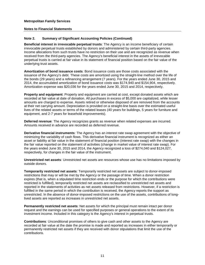#### **Notes to Financial Statements**

#### **Note 2. Summary of Significant Accounting Policies (Continued)**

**Beneficial interest in irrevocable perpetual trusts**: The Agency is an income beneficiary of certain irrevocable perpetual trusts established by donors and administered by certain third-party agencies. Income allocations from such trusts have no restriction on their use and are recognized as revenue when received from the third-party agencies. The Agency's beneficial interest in the assets of irrevocable perpetual trusts is carried at fair value in its statement of financial position based on the fair value of the underlying trust assets.

**Amortization of bond issuance costs**: Bond issuance costs are those costs associated with the issuance of the Agency's debt. These costs are amortized using the straight-line method over the life of the bonds (29 years) and a refinancing arrangement (7 years). For the years ended June 30, 2015 and 2014, the accumulated amortization of bond issuance costs was \$174,940 and \$154,904, respectively. Amortization expense was \$20,036 for the years ended June 30, 2015 and 2014, respectively.

**Property and equipment**: Property and equipment are carried at cost, except donated assets which are recorded at fair value at date of donation. All purchases in excess of \$5,000 are capitalized, while lesser amounts are charged to expense. Assets retired or otherwise disposed of are removed from the accounts at their net carrying amount. Depreciation is provided on a straight-line basis over the estimated useful lives of the related assets or terms of the related leases (40 years for buildings, 5 years for furniture and equipment, and 2-7 years for leasehold improvements).

**Deferred revenue**: The Agency recognizes grants as revenue when related expenses are incurred. Amounts received in advance are recorded as deferred revenue.

**Derivative financial instruments**: The Agency has an interest rate swap agreement with the objective of minimizing the variability of cash flows. This derivative financial instrument is recognized as either an asset or liability at fair value in the statement of financial position (interest rate swap) with the changes in the fair value reported on the statement of activities (change in market value of interest rate swap). For the years ended June 30, 2015 and 2014, the Agency recognized a loss of \$274,040 and \$124,027, respectively, for changes in the fair value of the instrument.

**Unrestricted net assets**: Unrestricted net assets are resources whose use has no limitations imposed by outside donors.

**Temporarily restricted net assets**: Temporarily restricted net assets are subject to donor-imposed restrictions that may or will be met by the Agency or the passage of time. When a donor restriction expires (that is, when a stipulated time restriction ends or the purpose for which the contributions were restricted is fulfilled), temporarily restricted net assets are reclassified to unrestricted net assets and reported in the statements of activities as net assets released from restrictions. However, if a restriction is fulfilled in the same period in which the contribution is received, the Agency reports the support as unrestricted. In the absence of donor-imposed restrictions on the use of the assets, contributions of longlived assets are reported as increases in unrestricted net assets.

**Permanently restricted net assets**: Net assets for which the principal must remain intact per donor request and the earnings can be used for specified purposes or general operations to the extent of its investment income. Included in this category is the Agency's interest in perpetual trusts.

**Contributions**: Unconditional promises of others to give cash and other assets to the Agency are recorded at fair value at the date the promise is made and reported as increases in either temporarily or permanently restricted net assets if they are received with donor stipulations that limit the use of the contributions.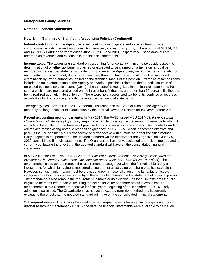## **Notes to Financial Statements**

## **Note 2. Summary of Significant Accounting Policies (Continued)**

**In-kind contributions**: The Agency received contributions of goods and services from outside corporations, including advertising, consulting services, and various goods, in the amount of \$3,184,432 and \$4,199,171 during the years ended June 30, 2015 and 2014, respectively. These amounts are recorded as revenues and expenses in the financial statements.

**Income taxes**: The accounting standard on accounting for uncertainty in income taxes addresses the determination of whether tax benefits claimed or expected to be claimed on a tax return should be recorded in the financial statements. Under this guidance, the Agency may recognize the tax benefit from an uncertain tax position only if it is more than likely than not that the tax position will be sustained on examination by taxing authorities, based on the technical merits of the position. Examples of tax positions include the tax-exempt status of the Agency and various positions related to the potential sources of unrelated business taxable income (UBIT). The tax benefits recognized in the financial statements from such a position are measured based on the largest benefit that has a greater than 50 percent likelihood of being realized upon ultimate settlement. There were no unrecognized tax benefits identified or recorded as liabilities for the reporting periods presented in the financial statements.

The Agency files Form 990 in the U.S. federal jurisdiction and the State of Illinois. The Agency is generally no longer subject to examination by the Internal Revenue Service for tax years before 2012.

**Recent accounting pronouncements**: In May 2014, the FASB issued ASU 2014-09, *Revenue from Contracts with Customers (Topic 606)*, requiring an entity to recognize the amount of revenue to which it expects to be entitled for the transfer of promised goods or services to customers. The updated standard will replace most existing revenue recognition guidance in U.S. GAAP when it becomes effective and permits the use of either a full retrospective or retrospective with cumulative effect transition method. Early adoption is not permitted. The updated standard will be effective for the Organization's June 30, 2019 consolidated financial statements. The Organization has not yet selected a transition method and is currently evaluating the effect that the updated standard will have on the consolidated financial statements.

In May 2015, the FASB issued ASU 2015-07, *Fair Value Measurement (Topic 820), Disclosures for Investments in Certain Entities That Calculate Net Asset Value per Share (or its Equivalent*). The amendments in this update remove the requirement to categorize within the fair value hierarchy all investments for which fair value is measured using the net asset value per share practical expedient. However, sufficient information must be provided to permit reconciliation of the fair value of assets categorized within the fair value hierarchy to the amounts presented in the statement of financial position. The amendments also remove the requirement to make certain disclosures for all investments that are eligible to be measured at fair value using the net asset value per share practical expedient. The amendments in this Update are effective for fiscal years beginning after December 15, 2016. Early adoption is permitted. The Organization has not yet selected a transition method and is currently evaluating the effect that the updated standard will have on the consolidated financial statements.

**Subsequent events**: The Agency has evaluated subsequent events for potential recognition and/or disclosure through September 21, 2015, the date the financial statements were available to be issued.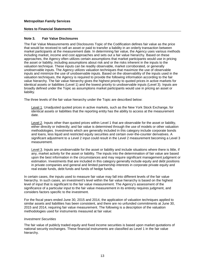#### **Notes to Financial Statements**

### **Note 3. Fair Value Disclosures**

The Fair Value Measurements and Disclosures Topic of the Codification defines fair value as the price that would be received to sell an asset or paid to transfer a liability in an orderly transaction between market participants at the measurement date. In determining fair value, the Agency uses various methods including market, income and cost approaches and sets out a fair value hierarchy. Based on these approaches, the Agency often utilizes certain assumptions that market participants would use in pricing the asset or liability, including assumptions about risk and or the risks inherent in the inputs to the valuation technique. These inputs can be readily observable, market corroborated, or generally unobservable inputs. The Agency utilizes valuation techniques that maximize the use of observable inputs and minimize the use of unobservable inputs. Based on the observability of the inputs used in the valuation techniques, the Agency is required to provide the following information according to the fair value hierarchy. The fair value hierarchy gives the highest priority to quoted prices in active markets for identical assets or liabilities (Level 1) and the lowest priority to unobservable inputs (Level 3). Inputs are broadly defined under the Topic as assumptions market participants would use in pricing an asset or liability.

The three levels of the fair value hierarchy under the Topic are described below:

Level 1. Unadjusted quoted prices in active markets, such as the New York Stock Exchange, for identical assets or liabilities that the reporting entity has the ability to access at the measurement date.

Level 2. Inputs other than quoted prices within Level 1 that are observable for the asset or liability, either directly or indirectly; and fair value is determined through the use of models or other valuation methodologies. Investments which are generally included in this category include corporate bonds and loans, less liquid and restricted equity securities and certain over-the-counter derivatives. A significant adjustment to a Level 2 input could result in the Level 2 measurement becoming a Level 3 measurement.

Level 3. Inputs are unobservable for the asset or liability and include situations where there is little, if any, market activity for the asset or liability. The inputs into the determination of fair value are based upon the best information in the circumstances and may require significant management judgment or estimation. Investments that are included in this category generally include equity and debt positions in private companies and general and limited partnership interests in corporate private equity and real estate funds, debt funds and funds of hedge funds.

In certain cases, the inputs used to measure fair value may fall into different levels of the fair value hierarchy. In such cases, an investment's level within the fair value hierarchy is based on the highest level of input that is significant to the fair value measurement. The Agency's assessment of the significance of a particular input to the fair value measurement in its entirety requires judgment, and considers factors specific to the investment.

For the fiscal years ended June 30, 2015 and 2014, the application of valuation techniques applied to similar assets and liabilities has been consistent, and there are no unfunded commitments at June 30, 2015 and 2014, requiring fair value measurement. The following is a description of the valuation methodologies used for instruments measured at fair value:

#### *Investment Securities*

The fair value of publicly traded equity and fixed income securities is based upon market quotations of national security exchanges. These financial instruments are classified as Level 1 in the fair value hierarchy.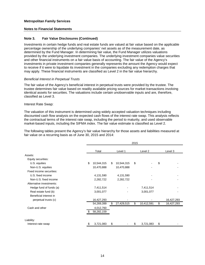#### **Notes to Financial Statements**

## **Note 3. Fair Value Disclosures (Continued)**

Investments in certain hedge funds and real estate funds are valued at fair value based on the applicable percentage ownership of the underlying companies' net assets as of the measurement date, as determined by the Fund Manager. In determining fair value, the Fund Manager utilizes valuations provided by the underlying investment companies. The underlying investment companies value securities and other financial instruments on a fair value basis of accounting. The fair value of the Agency's investments in private investment companies generally represents the amount the Agency would expect to receive if it were to liquidate its investment in the companies excluding any redemption charges that may apply. These financial instruments are classified as Level 2 in the fair value hierarchy.

#### *Beneficial Interest in Perpetual Trusts*

The fair value of the Agency's beneficial interest in perpetual trusts were provided by the trustee. The trustee determines fair value based on readily available pricing sources for market transactions involving identical assets for securities. The valuations include certain unobservable inputs and are, therefore, classified as Level 3.

#### Interest Rate Swap:

The valuation of this instrument is determined using widely accepted valuation techniques including discounted cash flow analysis on the expected cash flows of the interest rate swap. This analysis reflects the contractual terms of the interest rate swap, including the period to maturity, and used observable market-based inputs, including the SIFMA index. The fair value estimate is classified as Level 2.

The following tables present the Agency's fair value hierarchy for those assets and liabilities measured at fair value on a recurring basis as of June 30, 2015 and 2014:

|                          | 2015                        |    |            |    |            |    |            |  |  |  |
|--------------------------|-----------------------------|----|------------|----|------------|----|------------|--|--|--|
|                          | Total<br>Level 1<br>Level 2 |    |            |    |            |    |            |  |  |  |
| Assets:                  |                             |    |            |    |            |    |            |  |  |  |
| Equity securities:       |                             |    |            |    |            |    |            |  |  |  |
| U.S. equities            | \$<br>10,544,315            | \$ | 10,544,315 | \$ |            | \$ |            |  |  |  |
| Non-U.S. equities        | 10,470,888                  |    | 10,470,888 |    |            |    |            |  |  |  |
| Fixed income securities: |                             |    |            |    |            |    |            |  |  |  |
| U.S. fixed income        | 4,131,590                   |    | 4,131,590  |    |            |    |            |  |  |  |
| Non-U.S. fixed income    | 2,282,722                   |    | 2,282,722  |    |            |    |            |  |  |  |
| Alternative investments: |                             |    |            |    |            |    |            |  |  |  |
| Hedge fund of funds (a)  | 7,411,514                   |    |            |    | 7,411,514  |    |            |  |  |  |
| Real estate fund (b)     | 3,001,077                   |    |            |    | 3,001,077  |    |            |  |  |  |
| Beneficial interest in   |                             |    |            |    |            |    |            |  |  |  |
| perpetual trusts (c)     | 16,427,293                  |    |            |    |            |    | 16,427,293 |  |  |  |
|                          | 54,269,399                  | \$ | 27,429,515 | \$ | 10,412,591 | S  | 16,427,293 |  |  |  |
| Cash and other           | 4,012,760                   |    |            |    |            |    |            |  |  |  |
|                          | 58,282,159                  |    |            |    |            |    |            |  |  |  |
|                          |                             |    |            |    |            |    |            |  |  |  |
| Liability:               |                             |    |            |    |            |    |            |  |  |  |
| Interest-rate swap       | 3,721,083                   | \$ |            | S  | 3,721,083  | \$ |            |  |  |  |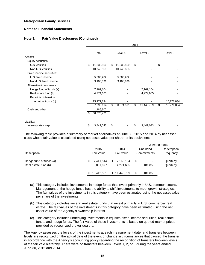#### **Notes to Financial Statements**

## **Note 3. Fair Value Disclosures (Continued)**

|                          | 2014             |    |            |    |            |    |            |  |  |  |
|--------------------------|------------------|----|------------|----|------------|----|------------|--|--|--|
|                          | Total            |    | Level 1    |    | Level 2    |    | Level 3    |  |  |  |
| Assets:                  |                  |    |            |    |            |    |            |  |  |  |
| Equity securities:       |                  |    |            |    |            |    |            |  |  |  |
| U.S. equities            | \$<br>11,238,560 | \$ | 11,238,560 | \$ |            | \$ |            |  |  |  |
| Non-U.S. equities        | 10,746,853       |    | 10,746,853 |    |            |    |            |  |  |  |
| Fixed income securities: |                  |    |            |    |            |    |            |  |  |  |
| U.S. fixed income        | 5,580,202        |    | 5,580,202  |    |            |    |            |  |  |  |
| Non-U.S. fixed income    | 3,108,896        |    | 3,108,896  |    |            |    |            |  |  |  |
| Alternative investments: |                  |    |            |    |            |    |            |  |  |  |
| Hedge fund of funds (a)  | 7,169,104        |    |            |    | 7,169,104  |    |            |  |  |  |
| Real estate fund (b)     | 4,274,665        |    |            |    | 4,274,665  |    |            |  |  |  |
| Beneficial interest in   |                  |    |            |    |            |    |            |  |  |  |
| perpetual trusts (c)     | 15,271,834       |    |            |    |            |    | 15,271,834 |  |  |  |
|                          | 57,390,114       | \$ | 30,674,511 | \$ | 11,443,769 | \$ | 15,271,834 |  |  |  |
| Cash and other           | 1,186,307        |    |            |    |            |    |            |  |  |  |
|                          | 58,576,421       |    |            |    |            |    |            |  |  |  |
| Liability:               |                  |    |            |    |            |    |            |  |  |  |
| Interest-rate swap       | \$<br>3,447,043  | \$ |            | \$ | 3,447,043  | \$ |            |  |  |  |

The following table provides a summary of market alternatives at June 30, 2015 and 2014 by net asset class whose fair value is calculated using net asset value per share, or its equivalent:

|                                                 |                             |                             | June 30, 2015      |                        |  |  |  |
|-------------------------------------------------|-----------------------------|-----------------------------|--------------------|------------------------|--|--|--|
|                                                 | 2015<br>2014                |                             | Unfunded           | Redemption             |  |  |  |
| Description                                     | <b>Fair Value</b>           | Fair value                  | Commitments        | Frequency              |  |  |  |
| Hedge fund of funds (a)<br>Real estate fund (b) | 7,411,514<br>S<br>3,001,077 | 7.169.104<br>S<br>4,274,665 | \$<br>۰<br>181,850 | Quarterly<br>Quarterly |  |  |  |
|                                                 | 10,412,591                  | \$11,443,769                | \$<br>181,850      |                        |  |  |  |

- (a) This category includes investments in hedge funds that invest primarily in U.S. common stocks. Management of the hedge funds has the ability to shift investments to meet growth strategies. The fair values of the investments in this category have been estimated using the net asset value per share of the investments.
- (b) This category includes several real estate funds that invest primarily in U.S. commercial real estate. The fair values of the investments in this category have been estimated using the net asset value of the Agency's ownership interest.
- (c) This category includes underlying investments in equities, fixed income securities, real estate funds, and hedge funds. The fair value of these investments is based on quoted market prices provided by recognized broker-dealers.

The Agency assesses the levels of the investments at each measurement date, and transfers between levels are recognized on the actual date of the event or change in circumstances that caused the transfer in accordance with the Agency's accounting policy regarding the recognition of transfers between levels of the fair vale hierarchy. There were no transfers between Levels 1, 2, or 3 during the years ended June 30, 2015 and 2014.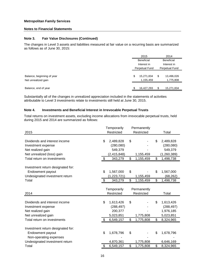#### **Notes to Financial Statements**

## **Note 3. Fair Value Disclosures (Continued)**

The changes in Level 3 assets and liabilities measured at fair value on a recurring basis are summarized as follows as of June 30, 2015:

|                                                   | 2015                  |                         | 2014           |                         |
|---------------------------------------------------|-----------------------|-------------------------|----------------|-------------------------|
|                                                   | Beneficial            |                         | Beneficial     |                         |
|                                                   | Interest in           |                         | Interest in    |                         |
|                                                   | <b>Perpetual Fund</b> |                         | Perpetual Fund |                         |
| Balance, beginning of year<br>Net unrealized gain | \$                    | 15,271,834<br>1,155,459 | S              | 13,496,026<br>1,775,808 |
| Balance, end of year                              | \$.                   | 16,427,293              | S              | 15,271,834              |

Substantially all of the changes in unrealized appreciation included in the statements of activities attributable to Level 3 investments relate to investments still held at June 30, 2015.

#### **Note 4. Investments and Beneficial Interest in Irrevocable Perpetual Trusts**

Total returns on investment assets, excluding income allocations from irrevocable perpetual trusts, held during 2015 and 2014 are summarized as follows:

|                                   | Temporarily     | Permanently     |    |               |
|-----------------------------------|-----------------|-----------------|----|---------------|
| 2015                              | Restricted      | Restricted      |    | Total         |
|                                   |                 |                 |    |               |
| Dividends and interest income     | \$<br>2,489,828 | \$              | S. | 2,489,828     |
| Investment expense                | (280,080)       |                 |    | (280, 080)    |
| Net realized gain                 | 549,379         |                 |    | 549,379       |
| Net unrealized (loss) gain        | (2, 415, 848)   | 1,155,459       |    | (1, 260, 389) |
| Total return on investments       | \$<br>343,279   | \$<br>1,155,459 | \$ | 1,498,738     |
| Investment return designated for: |                 |                 |    |               |
| Endowment payout                  | \$<br>1,567,000 | \$              | S  | 1,567,000     |
| Undesignated investment return    | (1, 223, 721)   | 1,155,459       |    | (68, 262)     |
| Total                             | \$<br>343,279   | \$<br>1,155,459 | \$ | 1,498,738     |
|                                   |                 |                 |    |               |
|                                   | Temporarily     | Permanently     |    |               |
| 2014                              | Restricted      | Restricted      |    | Total         |
|                                   |                 |                 |    |               |
| Dividends and interest income     | \$<br>1,613,426 | \$              | S. | 1,613,426     |
| Investment expense                | (288, 497)      |                 |    | (288, 497)    |
| Net realized gain                 | 200,377         |                 |    | 1,976,185     |
| Net unrealized gain               | 5,023,851       | 1,775,808       |    | 5,023,851     |
| Total return on investments       | 6,549,157       | \$<br>1,775,808 | \$ | 8,324,965     |
|                                   |                 |                 |    |               |
| Investment return designated for: |                 |                 |    |               |
| Endowment payout                  | \$<br>1,678,796 | \$              | \$ | 1,678,796     |
| Non-operating expenses            |                 |                 |    |               |
| Undesignated investment return    | 4,870,361       | 1,775,808       |    | 6,646,169     |
| Total                             | \$<br>6,549,157 | \$<br>1,775,808 | \$ | 8,324,965     |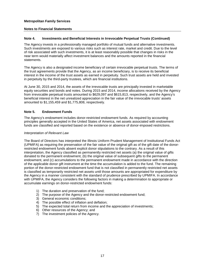## **Notes to Financial Statements**

## **Note 4. Investments and Beneficial Interests in Irrevocable Perpetual Trusts (Continued)**

The Agency invests in a professionally managed portfolio of mutual funds and alternative investments. Such investments are exposed to various risks such as interest rate, market and credit. Due to the level of risk associated with such investments, it is at least reasonably possible that changes in risks in the near term would materially affect investment balances and the amounts reported in the financial statements.

The Agency is also a designated income beneficiary of certain irrevocable perpetual trusts. The terms of the trust agreements provide that the Agency, as an income beneficiary, is to receive its beneficial interest in the income of the trust assets as earned in perpetuity. Such trust assets are held and invested in perpetuity by the third-party trustees, which are financial institutions.

At June 30, 2015 and 2014, the assets of the irrevocable trusts are principally invested in marketable equity securities and bonds and notes. During 2015 and 2014, income allocations received by the Agency from irrevocable perpetual trusts amounted to \$629,097 and \$615,813, respectively, and the Agency's beneficial interest in the net unrealized appreciation in the fair value of the irrevocable trusts' assets amounted to \$1,155,459 and \$1,775,808, respectively.

## **Note 5. Endowment Funds**

The Agency's endowment includes donor-restricted endowment funds. As required by accounting principles generally accepted in the United States of America, net assets associated with endowment funds are classified and reported based on the existence or absence of donor-imposed restrictions.

#### *Interpretation of Relevant Law*

The Board of Directors has interpreted the Illinois Uniform Prudent Management of Institutional Funds Act (UPMIFA) as requiring the preservation of the fair value of the original gift as of the gift date of the donorrestricted endowment funds absent explicit donor stipulations to the contrary. As a result of this interpretation, the Agency classified as permanently restricted net assets (a) the original value of gifts donated to the permanent endowment, (b) the original value of subsequent gifts to the permanent endowment, and (c) accumulations to the permanent endowment made in accordance with the direction of the applicable donor gift instrument at the time the accumulation is added to the fund. The remaining portion of the donor-restricted endowment fund that is not classified in permanently restricted net assets is classified as temporarily restricted net assets until those amounts are appropriated for expenditure by the Agency in a manner consistent with the standard of prudence prescribed by UPMIFA. In accordance with UPMIFA, the Agency considers the following factors in making a determination to appropriate or accumulate earnings on donor-restricted endowment funds:

- 1) The duration and preservation of the fund;
- 2) The purpose of the Agency and the donor-restricted endowment fund;
- 3) General economic conditions;
- 4) The possible effect of inflation and deflation;
- 5) The expected total return from income and the appreciation of investments;
- 6) Other resources of the Agency; and
- 7) The investment policies of the Agency.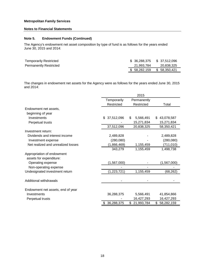#### **Notes to Financial Statements**

## **Note 5. Endowment Funds (Continued)**

The Agency's endowment net asset composition by type of fund is as follows for the years ended June 30, 2015 and 2014:

| <b>Temporarily Restricted</b> | \$ 36,288,375 \$ 37,512,096 |              |
|-------------------------------|-----------------------------|--------------|
| <b>Permanently Restricted</b> | 21.993.784                  | 20,838,325   |
|                               | \$58.282.159                | \$58,350,421 |

The changes in endowment net assets for the Agency were as follows for the years ended June 30, 2015 and 2014:

|                                    |                  | 2015             |                  |
|------------------------------------|------------------|------------------|------------------|
|                                    | Temporarily      | Permanently      |                  |
|                                    | Restricted       | Restricted       | Total            |
| Endowment net assets,              |                  |                  |                  |
| beginning of year                  |                  |                  |                  |
| Investments                        | 37,512,096<br>\$ | \$<br>5,566,491  | 43,078,587<br>\$ |
| Perpetual trusts                   |                  | 15,271,834       | 15,271,834       |
|                                    | 37,512,096       | 20,838,325       | 58,350,421       |
| Investment return:                 |                  |                  |                  |
| Dividends and interest income      | 2,489,828        |                  | 2,489,828        |
| Investment expense                 | (280,080)        |                  | (280,080)        |
| Net realized and unrealized losses | (1,866,469)      | 1,155,459        | (711, 010)       |
|                                    | 343,279          | 1,155,459        | 1,498,738        |
| Appropriation of endowment         |                  |                  |                  |
| assets for expenditure:            |                  |                  |                  |
| Operating expense                  | (1, 567, 000)    |                  | (1,567,000)      |
| Non-operating expense              |                  |                  |                  |
| Undesignated investment return     | (1, 223, 721)    | 1,155,459        | (68, 262)        |
| Additional withdrawals             |                  |                  |                  |
|                                    |                  |                  |                  |
| Endowment net assets, end of year  |                  |                  |                  |
| Investments                        | 36,288,375       | 5,566,491        | 41,854,866       |
| Perpetual trusts                   |                  | 16,427,293       | 16,427,293       |
|                                    | 36,288,375<br>\$ | \$<br>21,993,784 | \$<br>58,282,159 |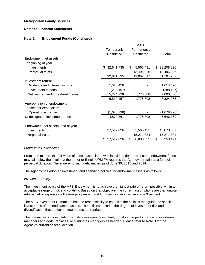## **Notes to Financial Statements**

## **Note 5. Endowment Funds (Continued)**

|                                                       | 2014             |                  |                   |  |
|-------------------------------------------------------|------------------|------------------|-------------------|--|
|                                                       | Temporarily      | Permanently      |                   |  |
|                                                       | Restricted       | Restricted       | Total             |  |
| Endowment net assets,                                 |                  |                  |                   |  |
| beginning of year                                     |                  |                  |                   |  |
| Investments                                           | 32,641,735<br>\$ | \$<br>5,566,491  | 38,208,226<br>\$. |  |
| Perpetual trusts                                      |                  | 13,496,026       | 13,496,026        |  |
|                                                       | 32,641,735       | 19,062,517       | 51,704,252        |  |
| Investment return:                                    |                  |                  |                   |  |
| Dividends and interest income                         | 1,613,426        |                  | 1,613,426         |  |
| Investment expense                                    | (288, 497)       |                  | (288,497)         |  |
| Net realized and unrealized losses                    | 5,224,228        | 1,775,808        | 7,000,036         |  |
|                                                       | 6,549,157        | 1,775,808        | 8,324,965         |  |
| Appropriation of endowment<br>assets for expenditure: |                  |                  |                   |  |
| Operating expense                                     | (1,678,796)      |                  | (1,678,796)       |  |
| Undesignated investment return                        | 4,870,361        | 1,775,808        | 6,646,169         |  |
| Endowment net assets, end of year                     |                  |                  |                   |  |
| Investments                                           | 37,512,096       | 5,566,491        | 43,078,587        |  |
| Perpetual trusts                                      |                  | 15,271,834       | 15,271,834        |  |
|                                                       | \$ 37,512,096    | \$<br>20,838,325 | 58,350,421<br>\$  |  |

### *Funds with Deficiencies*

From time to time, the fair value of assets associated with individual donor-restricted endowment funds may fall below the level that the donor or Illinois UPMIFA requires the Agency to retain as a fund of perpetual duration. There were no such deficiencies as of June 30, 2015 and 2014.

The Agency has adopted investment and spending policies for endowment assets as follows:

#### *Investment Policy*

The investment policy of the MFS Endowment is to achieve the highest rate of return possible within an acceptable range of risk and volatility. Based on that objective, the current assumptions are that long-term returns net of expenses will average 7 percent and long-term inflation will average 3 percent.

The MFS Investment Committee has the responsibility to establish the policies that guide the specific investments of the endowment assets. The policies describe the degree of investment risk and diversification that the committee deems appropriate.

The committee, in consultation with its investment consultant, monitors the performance of investment managers and adds, replaces, or eliminates managers as needed. Please refer to Note 3 for the Agency's current asset allocation.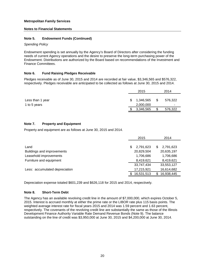## **Notes to Financial Statements**

## **Note 5. Endowment Funds (Continued)**

#### *Spending Policy*

Endowment spending is set annually by the Agency's Board of Directors after considering the funding needs of current Agency operations and the desire to preserve the long-term purchasing power of the Endowment. Distributions are authorized by the Board based on recommendations of the Investment and Finance Committees.

## **Note 6. Fund Raising Pledges Receivable**

Pledges receivable as of June 30, 2015 and 2014 are recorded at fair value, \$3,346,565 and \$576,322, respectively. Pledges receivable are anticipated to be collected as follows at June 30, 2015 and 2014.

|                  |     | 2015      | 2014          |
|------------------|-----|-----------|---------------|
|                  |     |           |               |
| Less than 1 year | \$. | 1,346,565 | \$<br>576,322 |
| 1 to 5 years     |     | 2,000,000 | ۰             |
|                  |     | 3,346,565 | \$<br>576,322 |

## **Note 7. Property and Equipment**

Property and equipment are as follows at June 30, 2015 and 2014.

| 2015           | 2014            |
|----------------|-----------------|
|                |                 |
| 2,791,623<br>S | 2,791,623<br>S  |
| 20,829,504     | 20,635,197      |
| 1,706,686      | 1,706,686       |
| 8,419,621      | 8,419,621       |
| 33,747,434     | 33,553,127      |
| 17,215,921     | 16,614,682      |
| 16,531,513     | 16,938,445<br>S |
|                |                 |

Depreciation expense totaled \$601,239 and \$626,118 for 2015 and 2014, respectively.

## **Note 8. Short-Term Debt**

The Agency has an available revolving credit line in the amount of \$7,000,000, which expires October 5, 2015. Interest is accrued monthly at either the prime rate or the LIBOR rate plus 115 basis points. The weighted average interest rate for fiscal years 2015 and 2014 was 1.59 percent and 1.63 percent, respectively. The covenants of the revolving credit line are substantially the same as those of the Illinois Development Finance Authority Variable Rate Demand Revenue Bonds (Note 9). The balance outstanding on the line of credit was \$3,950,000 at June 30, 2015 and \$4,200,000 at June 30, 2014.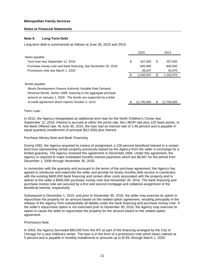## **Notes to Financial Statements**

## **Note 9. Long-Term Debt**

Long-term debt is summarized as follows at June 30, 2015 and 2014:

|                                                                                                                                                                                                                                                                          | 2015          |   | 2014       |
|--------------------------------------------------------------------------------------------------------------------------------------------------------------------------------------------------------------------------------------------------------------------------|---------------|---|------------|
| Notes payable:                                                                                                                                                                                                                                                           |               |   |            |
| Term loan due September 12, 2019                                                                                                                                                                                                                                         | \$<br>207.500 | S | 257,500    |
| Purchase money note and bank financing, due November 30, 2016                                                                                                                                                                                                            | 800,000       |   | 800,000    |
| Promissory note due March 1, 2020                                                                                                                                                                                                                                        | 38.047        |   | 44.970     |
|                                                                                                                                                                                                                                                                          | 1,045,547     |   | 1,102,470  |
| Bonds payable:<br>Illinois Development Finance Authority Variable Rate Demand<br>Revenue Bonds, Series 1999, maturing in the aggregate principal<br>amount on January 1, 2029. The bonds are supported by a letter<br>of credit agreement which expires October 5, 2015. | 12.700.000    |   | 12,700,000 |

#### Term Loan

In 2010, the Agency renegotiated an additional term loan for the North Children's Center due September 12, 2019. Interest is accrued at either the prime rate, the LIBOR rate plus 125 basis points, or the Bank Offered rate. At June 30, 2015, the loan had an interest rate of 1.48 percent and is payable in equal quarterly installments of principal (\$12,500) plus interest.

#### Purchase Money Note and Bank Financing

During 1992, the Agency acquired by means of assignment, a 100 percent beneficial interest in a certain land trust representing certain property previously leased by the Agency from the seller in exchange for a limited guaranty. The Agency renewed this agreement in December 2006. Under this agreement, the Agency is required to make scheduled monthly interest payments which are \$6,667 for the period from December 1, 2006 through November 30, 2016.

In connection with the guaranty and pursuant to the terms of the purchase agreement, the Agency has agreed to reimburse and indemnify the seller and provide for timely monthly debt service in connection with the existing \$400,000 bank financing and certain other costs associated with the property and to deliver to the seller a \$400,000 purchase money note due November 30, 2016. The bank financing and purchase money note are secured by a first and second mortgage and collateral assignment of the beneficial interest, respectively.

Subsequent to December 1, 2010, and prior to November 30, 2016, the seller may exercise its option to repurchase the property for an amount based on the related option agreement, resulting principally in the release of the Agency from substantially all liability under the bank financing and purchase money note. If the seller's repurchase option is not exercised prior to November 30, 2016, the Agency may exercise its option to cause the seller to repurchase the property for the amount based on the related option agreement.

#### Promissory Note

In 2003, the Agency borrowed \$95,000 from the IFF as part of the financing arranged by the City of Chicago for a new childcare center. The loan is in the form of a promissory note which bears interest at 5 percent and is payable in monthly installments in amounts up to \$749, through March 1, 2020.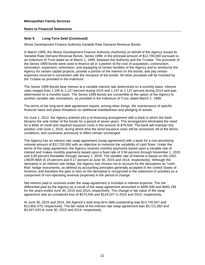## **Notes to Financial Statements**

## **Note 9. Long-Term Debt (Continued)**

Illinois Development Finance Authority Variable Rate Demand Revenue Bonds

In March 1999, the Illinois Development Finance Authority (Authority) on behalf of the Agency issued its Variable Rate Demand Revenue Bonds, Series 1999, in the principal amount of \$12,700,000 pursuant to an Indenture of Trust dated as of March 1, 1999, between the Authority and the Trustee. The proceeds of the Series 1999 bonds were used to finance all or a portion of the cost of acquisition, construction, renovation, expansion, restoration, and equipping of certain facilities of the Agency and to reimburse the Agency for certain capital projects, provide a portion of the interest on the bonds, and pay certain expenses incurred in connection with the Issuance of the bonds. All other proceeds will be invested by the Trustee as provided in the Indenture.

The Series 1999 Bonds bear interest at a variable interest rate determined on a monthly basis. Interest rates ranged from 1.106 to 1.127 percent during 2015 and 1.107 to 1.137 percent during 2014 and was determined on a monthly basis. The Series 1999 Bonds are convertible at the option of the Agency to another variable rate mechanism, as provided in the Indenture of Trust, dated March 1, 1999.

The terms of the long-term debt agreement require, among other things, the maintenance of specific financial ratios and place limitations on additional indebtedness and pledging of assets.

On June 1, 2012, the Agency entered into a re-financing arrangement with a bank in which the bank became the sole holder of the bonds for a period of seven years. This arrangement eliminated the need for a letter of credit and required issuance costs in the amount of \$79,500. The bank will maintain this position until June 1, 2019, during which time the bond issuance costs will be amortized. All of the terms, conditions, and covenants previously in effect remain unchanged.

The Agency has an interest rate swap agreement (swap agreement) with a bank for a non-amortizing notional amount of \$12,700,000 with an objective to minimize the variability of cash flows. Under the terms of the swap agreement, the Agency receives monthly payments based upon a variable rate of interest and makes monthly payments based upon a fixed rate of 3.94 percent through November 1, 2015 and 3.85 percent thereafter through January 1, 2029. The variable rate of interest is based on the USD-LIBOR-BBA (0.19 percent and 0.17 percent at June 30, 2015 and 2014, respectively). Although the derivative is an interest rate hedge, the Agency has chosen not to account for the derivatives as "cashflow" hedge instruments, as defined by accounting principles generally accepted in the United States of America, and therefore the gain or loss on the derivative is recognized in the statement of activities as a component of non-operating revenue (expense) in the period of change.

Net interest paid or received under the swap agreement is included in interest expense. The net differential paid by the Agency as a result of the swap agreement amounted to \$485,490 and \$485,199 for the years ended June 30, 2015 and 2014, respectively. The change in fair value of the swap agreement was an unrealized loss of \$274,040 and \$124,027 in 2015 and 2014, respectively.

At June 30, 2015 and 2014, the Agency's total long-term debt outstanding was \$13,745,547 and \$13,802,470, respectively. The fair value of the interest rate swap agreement was \$3,721,083 and \$3,447,043 at June 30, 2015 and 2014, respectively.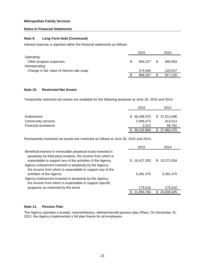## **Notes to Financial Statements**

## **Note 9. Long-Term Debt (Continued)**

Interest expense is reported within the financial statements as follows:

|                                            |    | 2015    | 2014    |
|--------------------------------------------|----|---------|---------|
| Operating:                                 |    |         |         |
| Other program expenses                     | S. | 694.227 | 693.093 |
| Nonoperating:                              |    |         |         |
| Change in fair value of interest rate swap |    | 274,040 | 124,027 |
|                                            |    | 968.267 | 817,120 |

## **Note 10. Restricted Net Assets**

Temporarily restricted net assets are available for the following purposes at June 30, 2015 and 2014:

|                      | 2015         | 2014          |
|----------------------|--------------|---------------|
|                      |              |               |
| Endowment            | \$36,288,375 | \$ 37,512,096 |
| Community services   | 2,936,473    | 413,513       |
| Financial assistance | 2.012        | 56,761        |
|                      | \$39,226,860 | \$37,982,370  |

Permanently restricted net assets are restricted as follows at June 30, 2015 and 2014:

|                                                                                                                                                                                              | 2015              | 2014            |
|----------------------------------------------------------------------------------------------------------------------------------------------------------------------------------------------|-------------------|-----------------|
| Beneficial interest in irrevocable perpetual trusts invested in<br>perpetuity by third-party trustees, the income from which is<br>expendable to support any of the activities of the Agency | 16,427,293<br>SS. | \$15,271,834    |
| Agency endowment invested in perpetuity by the Agency,<br>the income from which is expendable to support any of the                                                                          |                   |                 |
| activities of the Agency                                                                                                                                                                     | 5,391,475         | 5,391,475       |
| Agency endowment invested in perpetuity by the Agency,                                                                                                                                       |                   |                 |
| the income from which is expendable to support specific                                                                                                                                      |                   |                 |
| programs as restricted by the donor                                                                                                                                                          | 175,016           | 175,016         |
|                                                                                                                                                                                              | 21,993,784        | 20,838,325<br>S |

## **Note 11. Pension Plan**

The Agency operates a trusted, noncontributory, defined-benefit pension plan (Plan). On December 31, 2012, the Agency implemented a full plan freeze for all employees.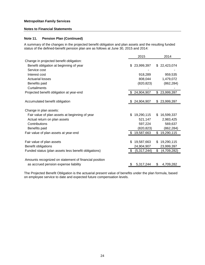## **Notes to Financial Statements**

## **Note 11. Pension Plan (Continued)**

A summary of the changes in the projected benefit obligation and plan assets and the resulting funded status of the defined-benefit pension plan are as follows at June 30, 2015 and 2014:

|                                                       | 2015             | 2014              |
|-------------------------------------------------------|------------------|-------------------|
| Change in projected benefit obligation:               |                  |                   |
| Benefit obligation at beginning of year               | 23,999,397<br>\$ | \$22,423,074      |
| Service cost                                          |                  |                   |
| Interest cost                                         | 918,289          | 959,535           |
| <b>Actuarial losses</b>                               | 808,044          | 1,479,072         |
| Benefits paid                                         | (820, 823)       | (862, 284)        |
| Curtailments                                          |                  |                   |
| Projected benefit obligation at year-end              | \$24,904,907     | \$23,999,397      |
| Accumulated benefit obligation                        | 24,904,907<br>S. | \$23,999,397      |
| Change in plan assets:                                |                  |                   |
| Fair value of plan assets at beginning of year        | 19,290,115<br>\$ | 16,599,337<br>\$. |
| Actual return on plan assets                          | 521,147          | 2,983,425         |
| Contributions                                         | 597,224          | 569,637           |
| Benefits paid                                         | (820, 823)       | (862, 284)        |
| Fair value of plan assets at year-end                 | 19,587,663       | \$19,290,115      |
|                                                       |                  |                   |
| Fair value of plan assets                             | 19,587,663<br>\$ | 19,290,115<br>\$  |
| Benefit obligations                                   | 24,904,907       | 23,999,397        |
| Funded status (plan assets less benefit obligations)  | (5,317,244)      | \$<br>(4,709,282) |
| Amounts recognized on statement of financial position |                  |                   |
| as accrued pension expense liability                  | 5,317,244        | 4,709,282<br>S    |

The Projected Benefit Obligation is the actuarial present value of benefits under the plan formula, based on employee service to date and expected future compensation levels.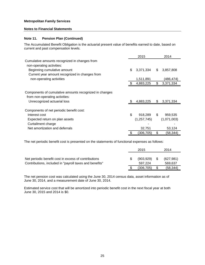## **Notes to Financial Statements**

## **Note 11. Pension Plan (Continued)**

The Accumulated Benefit Obligation is the actuarial present value of benefits earned to date, based on current and past compensation levels.

|                                                                                          |     | 2015          |    | 2014        |
|------------------------------------------------------------------------------------------|-----|---------------|----|-------------|
| Cumulative amounts recognized in changes from<br>non-operating activities:               |     |               |    |             |
| Beginning cumulative amount                                                              | \$  | 3,371,334     | \$ | 3,857,808   |
| Current year amount recognized in changes from                                           |     |               |    |             |
| non-operating activities                                                                 |     | 1,511,891     |    | (486,474)   |
|                                                                                          |     | 4,883,225     | \$ | 3,371,334   |
|                                                                                          |     |               |    |             |
| Components of cumulative amounts recognized in changes<br>from non-operating activities: |     |               |    |             |
| Unrecognized actuarial loss                                                              | \$. | 4,883,225     | S  | 3,371,334   |
|                                                                                          |     |               |    |             |
| Components of net periodic benefit cost:                                                 |     |               |    |             |
| Interest cost                                                                            | \$  | 918,289       | \$ | 959,535     |
| Expected return on plan assets                                                           |     | (1, 257, 745) |    | (1,071,003) |
| Curtailment charge                                                                       |     |               |    |             |
| Net amortization and deferrals                                                           |     | 32,751        |    | 53,124      |
|                                                                                          | \$  | (306,705)     | \$ | (58,344)    |

The net periodic benefit cost is presented on the statements of functional expenses as follows:

|                                                                                                                 | 2015                 |     | 2014                 |
|-----------------------------------------------------------------------------------------------------------------|----------------------|-----|----------------------|
| Net periodic benefit cost in excess of contributions<br>Contributions, included in "payroll taxes and benefits" | (903.929)<br>597.224 | \$. | (627.981)<br>569,637 |
|                                                                                                                 | (306, 705)           |     | (58,344)             |

The net pension cost was calculated using the June 30, 2014 census data, asset information as of June 30, 2014, and a measurement date of June 30, 2014.

Estimated service cost that will be amortized into periodic benefit cost in the next fiscal year at both June 30, 2015 and 2014 is \$0.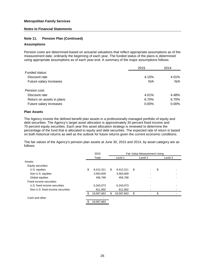#### **Notes to Financial Statements**

## **Note 11. Pension Plan (Continued)**

## **Assumptions**

Pension costs are determined based on actuarial valuations that reflect appropriate assumptions as of the measurement date, ordinarily the beginning of each year. The funded status of the plans is determined using appropriate assumptions as of each year-end. A summary of the major assumptions follows:

|                           | 2015     | 2014     |
|---------------------------|----------|----------|
| Funded status:            |          |          |
| Discount rate             | 4.15%    | 4.01%    |
| Future salary increases   | N/A      | N/A      |
| Pension cost:             |          |          |
| Discount rate             | 4.01%    | 4.48%    |
| Return on assets in plans | 6.70%    | 6.70%    |
| Future salary increases   | $0.00\%$ | $0.00\%$ |

#### **Plan Assets**

The Agency invests the defined benefit plan assets in a professionally managed portfolio of equity and debt securities. The Agency's target asset allocation is approximately 30 percent fixed income and 70 percent equity securities. Each year this asset allocation strategy is reviewed to determine the percentage of the fund that is allocated to equity and debt securities. The expected rate of return is based on both historical returns as well as the outlook for future returns given the current economic conditions.

The fair values of the Agency's pension plan assets at June 30, 2015 and 2014, by asset category are as follows:

|                                  | 2015 |            | Fair Value Measurement Using |            |    |         |    |         |
|----------------------------------|------|------------|------------------------------|------------|----|---------|----|---------|
|                                  |      | Total      |                              | Level 1    |    | Level 2 |    | Level 3 |
| Assets:                          |      |            |                              |            |    |         |    |         |
| Equity securities:               |      |            |                              |            |    |         |    |         |
| U.S. equities                    | \$   | 8,412,311  | S                            | 8,412,311  | \$ |         | \$ |         |
| Non-U.S. equities                |      | 3,563,609  |                              | 3,563,609  |    |         |    |         |
| Global equities                  |      | 456,768    |                              | 456.768    |    |         |    |         |
| Fixed income securities:         |      |            |                              |            |    |         |    |         |
| U.S. fixed income securities     |      | 6,343,073  |                              | 6,343,073  |    |         |    |         |
| Non-U.S. fixed income securities |      | 811,902    |                              | 811,902    |    |         |    |         |
|                                  |      | 19,587,663 |                              | 19,587,663 | \$ |         |    |         |
| Cash and other                   |      |            |                              |            |    |         |    |         |
|                                  |      | 19,587,663 |                              |            |    |         |    |         |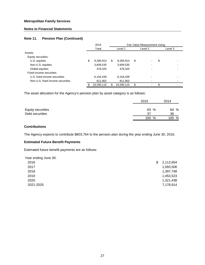#### **Notes to Financial Statements**

## **Note 11. Pension Plan (Continued)**

|                                  | 2014 |            |   | Fair Value Measurement Using |    |         |    |         |
|----------------------------------|------|------------|---|------------------------------|----|---------|----|---------|
|                                  |      | Total      |   | Level 1                      |    | Level 2 |    | Level 3 |
| Assets:                          |      |            |   |                              |    |         |    |         |
| Equity securities:               |      |            |   |                              |    |         |    |         |
| U.S. equities                    | \$   | 8,285,914  | S | 8,285,914                    | \$ |         | \$ |         |
| Non-U.S. equities                |      | 3,609,535  |   | 3,609,535                    |    |         |    |         |
| Global equities                  |      | 478,325    |   | 478.325                      |    |         |    |         |
| Fixed income securities:         |      |            |   |                              |    |         |    |         |
| U.S. fixed income securities     |      | 6,104,439  |   | 6,104,439                    |    |         |    |         |
| Non-U.S. fixed income securities |      | 811,902    |   | 811,902                      |    |         |    |         |
|                                  |      | 19,290,115 |   | 19,290,115                   | \$ | ۰       |    |         |

The asset allocation for the Agency's pension plan by asset category is as follows:

|                   | 2015 | 2014          |
|-------------------|------|---------------|
| Equity securities | 63   | 64 %<br>%     |
| Debt securities   | 37   | 36            |
|                   | 100  | %<br>%<br>100 |

## **Contributions**

The Agency expects to contribute \$803,764 to the pension plan during the year ending June 30, 2016.

# **Estimated Future Benefit Payments**

Estimated future benefit payments are as follows:

| Year ending June 30: |                 |
|----------------------|-----------------|
| 2016                 | \$<br>2,112,654 |
| 2017                 | 1,093,506       |
| 2018                 | 1,397,748       |
| 2019                 | 1,453,523       |
| 2020                 | 1,321,438       |
| 2021-2025            | 7,178,914       |
|                      |                 |